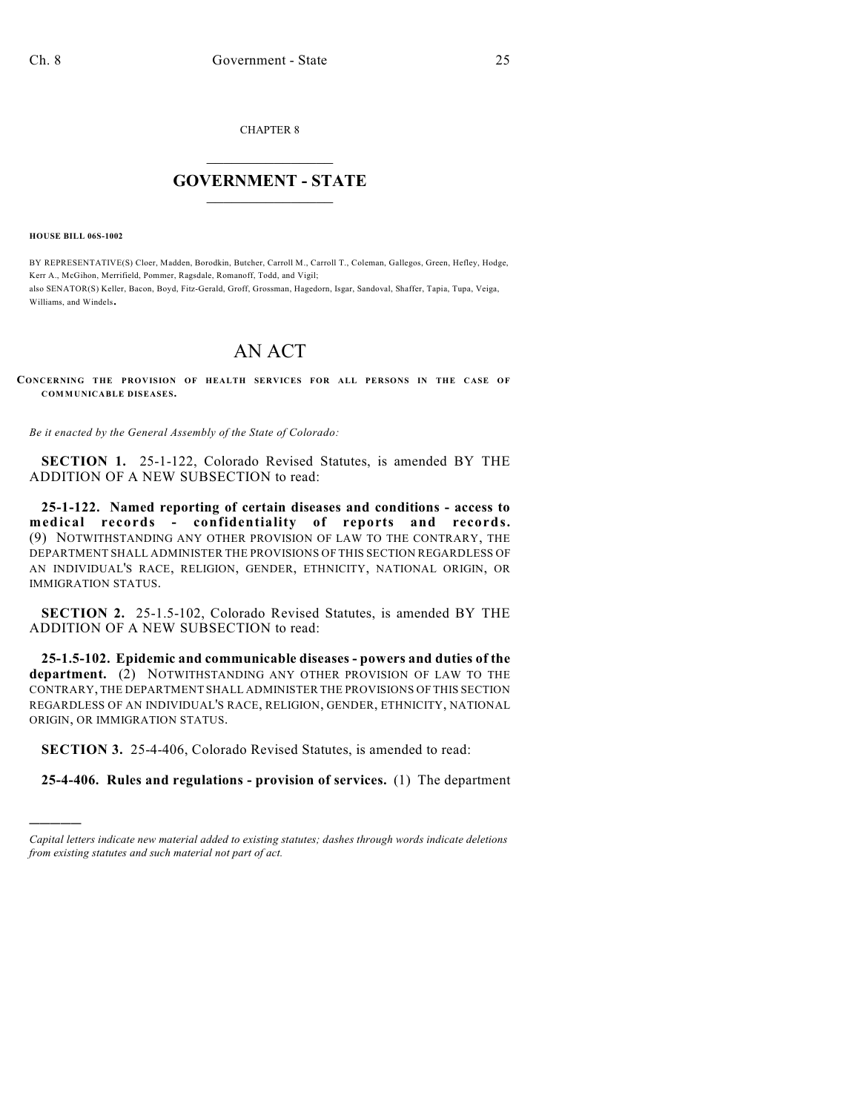CHAPTER 8

## $\overline{\phantom{a}}$  . The set of the set of the set of the set of the set of the set of the set of the set of the set of the set of the set of the set of the set of the set of the set of the set of the set of the set of the set o **GOVERNMENT - STATE**  $\_$

**HOUSE BILL 06S-1002**

)))))

BY REPRESENTATIVE(S) Cloer, Madden, Borodkin, Butcher, Carroll M., Carroll T., Coleman, Gallegos, Green, Hefley, Hodge, Kerr A., McGihon, Merrifield, Pommer, Ragsdale, Romanoff, Todd, and Vigil; also SENATOR(S) Keller, Bacon, Boyd, Fitz-Gerald, Groff, Grossman, Hagedorn, Isgar, Sandoval, Shaffer, Tapia, Tupa, Veiga, Williams, and Windels.

## AN ACT

**CONCERNING THE PROVISION OF HEALTH SERVICES FOR ALL PERSONS IN THE CASE OF COMMUNICABLE DISEASES.**

*Be it enacted by the General Assembly of the State of Colorado:*

**SECTION 1.** 25-1-122, Colorado Revised Statutes, is amended BY THE ADDITION OF A NEW SUBSECTION to read:

**25-1-122. Named reporting of certain diseases and conditions - access to medical records - confidentiality of reports and records.** (9) NOTWITHSTANDING ANY OTHER PROVISION OF LAW TO THE CONTRARY, THE DEPARTMENT SHALL ADMINISTER THE PROVISIONS OF THIS SECTION REGARDLESS OF AN INDIVIDUAL'S RACE, RELIGION, GENDER, ETHNICITY, NATIONAL ORIGIN, OR IMMIGRATION STATUS.

**SECTION 2.** 25-1.5-102, Colorado Revised Statutes, is amended BY THE ADDITION OF A NEW SUBSECTION to read:

**25-1.5-102. Epidemic and communicable diseases - powers and duties of the department.** (2) NOTWITHSTANDING ANY OTHER PROVISION OF LAW TO THE CONTRARY, THE DEPARTMENT SHALL ADMINISTER THE PROVISIONS OF THIS SECTION REGARDLESS OF AN INDIVIDUAL'S RACE, RELIGION, GENDER, ETHNICITY, NATIONAL ORIGIN, OR IMMIGRATION STATUS.

**SECTION 3.** 25-4-406, Colorado Revised Statutes, is amended to read:

**25-4-406. Rules and regulations - provision of services.** (1) The department

*Capital letters indicate new material added to existing statutes; dashes through words indicate deletions from existing statutes and such material not part of act.*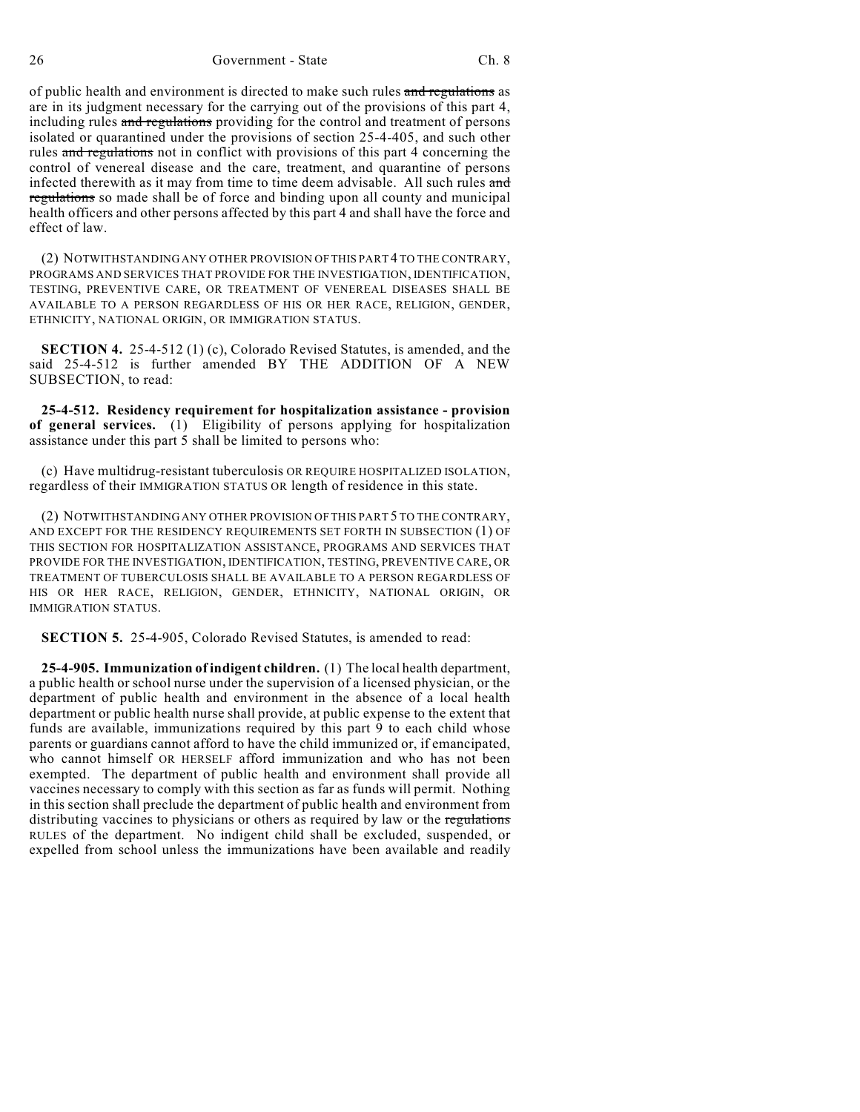26 Government - State Ch. 8

of public health and environment is directed to make such rules and regulations as are in its judgment necessary for the carrying out of the provisions of this part 4, including rules and regulations providing for the control and treatment of persons isolated or quarantined under the provisions of section 25-4-405, and such other rules and regulations not in conflict with provisions of this part 4 concerning the control of venereal disease and the care, treatment, and quarantine of persons infected therewith as it may from time to time deem advisable. All such rules and regulations so made shall be of force and binding upon all county and municipal health officers and other persons affected by this part 4 and shall have the force and effect of law.

(2) NOTWITHSTANDING ANY OTHER PROVISION OF THIS PART 4 TO THE CONTRARY, PROGRAMS AND SERVICES THAT PROVIDE FOR THE INVESTIGATION, IDENTIFICATION, TESTING, PREVENTIVE CARE, OR TREATMENT OF VENEREAL DISEASES SHALL BE AVAILABLE TO A PERSON REGARDLESS OF HIS OR HER RACE, RELIGION, GENDER, ETHNICITY, NATIONAL ORIGIN, OR IMMIGRATION STATUS.

**SECTION 4.** 25-4-512 (1) (c), Colorado Revised Statutes, is amended, and the said 25-4-512 is further amended BY THE ADDITION OF A NEW SUBSECTION, to read:

**25-4-512. Residency requirement for hospitalization assistance - provision of general services.** (1) Eligibility of persons applying for hospitalization assistance under this part 5 shall be limited to persons who:

(c) Have multidrug-resistant tuberculosis OR REQUIRE HOSPITALIZED ISOLATION, regardless of their IMMIGRATION STATUS OR length of residence in this state.

(2) NOTWITHSTANDING ANY OTHER PROVISION OF THIS PART 5 TO THE CONTRARY, AND EXCEPT FOR THE RESIDENCY REQUIREMENTS SET FORTH IN SUBSECTION (1) OF THIS SECTION FOR HOSPITALIZATION ASSISTANCE, PROGRAMS AND SERVICES THAT PROVIDE FOR THE INVESTIGATION, IDENTIFICATION, TESTING, PREVENTIVE CARE, OR TREATMENT OF TUBERCULOSIS SHALL BE AVAILABLE TO A PERSON REGARDLESS OF HIS OR HER RACE, RELIGION, GENDER, ETHNICITY, NATIONAL ORIGIN, OR IMMIGRATION STATUS.

**SECTION 5.** 25-4-905, Colorado Revised Statutes, is amended to read:

**25-4-905. Immunization of indigent children.** (1) The local health department, a public health or school nurse under the supervision of a licensed physician, or the department of public health and environment in the absence of a local health department or public health nurse shall provide, at public expense to the extent that funds are available, immunizations required by this part 9 to each child whose parents or guardians cannot afford to have the child immunized or, if emancipated, who cannot himself OR HERSELF afford immunization and who has not been exempted. The department of public health and environment shall provide all vaccines necessary to comply with this section as far as funds will permit. Nothing in this section shall preclude the department of public health and environment from distributing vaccines to physicians or others as required by law or the regulations RULES of the department. No indigent child shall be excluded, suspended, or expelled from school unless the immunizations have been available and readily